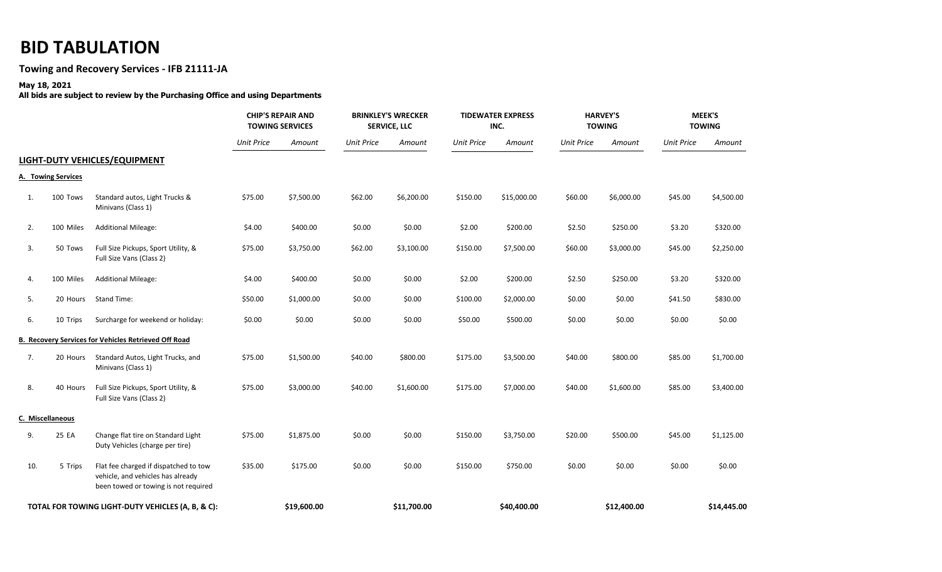## **BID TABULATION**

## **Towing and Recovery Services - IFB 21111-JA**

## **May 18, 2021**

**All bids are subject to review by the Purchasing Office and using Departments** 

|                                                   |                    |                                                                                                                    | <b>CHIP'S REPAIR AND</b><br><b>TOWING SERVICES</b> |             | <b>BRINKLEY'S WRECKER</b><br><b>SERVICE, LLC</b> |             | <b>TIDEWATER EXPRESS</b><br>INC. |             | <b>HARVEY'S</b><br><b>TOWING</b> |             | MEEK'S<br><b>TOWING</b> |             |
|---------------------------------------------------|--------------------|--------------------------------------------------------------------------------------------------------------------|----------------------------------------------------|-------------|--------------------------------------------------|-------------|----------------------------------|-------------|----------------------------------|-------------|-------------------------|-------------|
|                                                   |                    |                                                                                                                    | <b>Unit Price</b>                                  | Amount      | <b>Unit Price</b>                                | Amount      | <b>Unit Price</b>                | Amount      | <b>Unit Price</b>                | Amount      | <b>Unit Price</b>       | Amount      |
|                                                   |                    | LIGHT-DUTY VEHICLES/EQUIPMENT                                                                                      |                                                    |             |                                                  |             |                                  |             |                                  |             |                         |             |
|                                                   | A. Towing Services |                                                                                                                    |                                                    |             |                                                  |             |                                  |             |                                  |             |                         |             |
| 1.                                                | 100 Tows           | Standard autos, Light Trucks &<br>Minivans (Class 1)                                                               | \$75.00                                            | \$7,500.00  | \$62.00                                          | \$6,200.00  | \$150.00                         | \$15,000.00 | \$60.00                          | \$6,000.00  | \$45.00                 | \$4,500.00  |
| 2.                                                | 100 Miles          | <b>Additional Mileage:</b>                                                                                         | \$4.00                                             | \$400.00    | \$0.00                                           | \$0.00      | \$2.00                           | \$200.00    | \$2.50                           | \$250.00    | \$3.20                  | \$320.00    |
| 3.                                                | 50 Tows            | Full Size Pickups, Sport Utility, &<br>Full Size Vans (Class 2)                                                    | \$75.00                                            | \$3,750.00  | \$62.00                                          | \$3,100.00  | \$150.00                         | \$7,500.00  | \$60.00                          | \$3,000.00  | \$45.00                 | \$2,250.00  |
| 4.                                                | 100 Miles          | <b>Additional Mileage:</b>                                                                                         | \$4.00                                             | \$400.00    | \$0.00                                           | \$0.00      | \$2.00                           | \$200.00    | \$2.50                           | \$250.00    | \$3.20                  | \$320.00    |
| 5.                                                | 20 Hours           | <b>Stand Time:</b>                                                                                                 | \$50.00                                            | \$1,000.00  | \$0.00                                           | \$0.00      | \$100.00                         | \$2,000.00  | \$0.00                           | \$0.00      | \$41.50                 | \$830.00    |
| 6.                                                | 10 Trips           | Surcharge for weekend or holiday:                                                                                  | \$0.00                                             | \$0.00      | \$0.00                                           | \$0.00      | \$50.00                          | \$500.00    | \$0.00                           | \$0.00      | \$0.00                  | \$0.00      |
|                                                   |                    | B. Recovery Services for Vehicles Retrieved Off Road                                                               |                                                    |             |                                                  |             |                                  |             |                                  |             |                         |             |
| 7.                                                | 20 Hours           | Standard Autos, Light Trucks, and<br>Minivans (Class 1)                                                            | \$75.00                                            | \$1,500.00  | \$40.00                                          | \$800.00    | \$175.00                         | \$3,500.00  | \$40.00                          | \$800.00    | \$85.00                 | \$1,700.00  |
| 8.                                                | 40 Hours           | Full Size Pickups, Sport Utility, &<br>Full Size Vans (Class 2)                                                    | \$75.00                                            | \$3,000.00  | \$40.00                                          | \$1,600.00  | \$175.00                         | \$7,000.00  | \$40.00                          | \$1,600.00  | \$85.00                 | \$3,400.00  |
|                                                   | C. Miscellaneous   |                                                                                                                    |                                                    |             |                                                  |             |                                  |             |                                  |             |                         |             |
| 9.                                                | 25 EA              | Change flat tire on Standard Light<br>Duty Vehicles (charge per tire)                                              | \$75.00                                            | \$1,875.00  | \$0.00                                           | \$0.00      | \$150.00                         | \$3,750.00  | \$20.00                          | \$500.00    | \$45.00                 | \$1,125.00  |
| 10.                                               | 5 Trips            | Flat fee charged if dispatched to tow<br>vehicle, and vehicles has already<br>been towed or towing is not required | \$35.00                                            | \$175.00    | \$0.00                                           | \$0.00      | \$150.00                         | \$750.00    | \$0.00                           | \$0.00      | \$0.00                  | \$0.00      |
| TOTAL FOR TOWING LIGHT-DUTY VEHICLES (A, B, & C): |                    |                                                                                                                    |                                                    | \$19,600.00 |                                                  | \$11,700.00 |                                  | \$40,400.00 |                                  | \$12,400.00 |                         | \$14,445.00 |